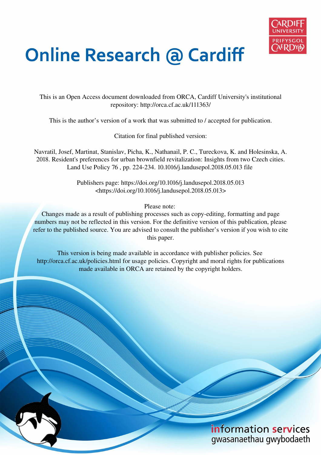

# **Online Research @ Cardiff**

This is an Open Access document downloaded from ORCA, Cardiff University's institutional repository: http://orca.cf.ac.uk/111363/

This is the author's version of a work that was submitted to / accepted for publication.

Citation for final published version:

Navratil, Josef, Martinat, Stanislav, Picha, K., Nathanail, P. C., Tureckova, K. and Holesinska, A. 2018. Resident's preferences for urban brownfield revitalization: Insights from two Czech cities. Land Use Policy 76 , pp. 224-234. 10.1016/j.landusepol.2018.05.013 file

> Publishers page: https://doi.org/10.1016/j.landusepol.2018.05.013 <https://doi.org/10.1016/j.landusepol.2018.05.013>

> > Please note:

Changes made as a result of publishing processes such as copy-editing, formatting and page numbers may not be reflected in this version. For the definitive version of this publication, please refer to the published source. You are advised to consult the publisher's version if you wish to cite this paper.

This version is being made available in accordance with publisher policies. See http://orca.cf.ac.uk/policies.html for usage policies. Copyright and moral rights for publications made available in ORCA are retained by the copyright holders.

## information services gwasanaethau gwybodaeth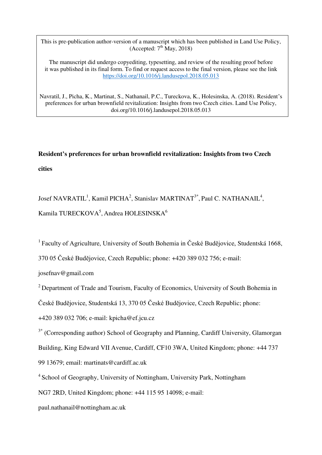This is pre-publication author-version of a manuscript which has been published in Land Use Policy, (Accepted:  $7<sup>th</sup>$  May, 2018)

The manuscript did undergo copyediting, typesetting, and review of the resulting proof before it was published in its final form. To find or request access to the final version, please see the link <https://doi.org/10.1016/j.landusepol.2018.05.013>

Navratil, J., Picha, K., Martinat, S., Nathanail, P.C., Tureckova, K., Holesinska, A. (2018). Resident's preferences for urban brownfield revitalization: Insights from two Czech cities. Land Use Policy, doi.org/10.1016/j.landusepol.2018.05.013

## **Resident's preferences for urban brownfield revitalization: Insights from two Czech cities**

Josef NAVRATIL<sup>1</sup>, Kamil PICHA<sup>2</sup>, Stanislav MARTINAT<sup>3\*</sup>, Paul C. NATHANAIL<sup>4</sup>, Kamila TURECKOVA<sup>5</sup>, Andrea HOLESINSKA<sup>6</sup>

<sup>1</sup>Faculty of Agriculture, University of South Bohemia in České Budějovice, Studentská 1668,

370 05 České Budějovice, Czech Republic; phone: +420 389 032 756; e-mail:

josefnav@gmail.com

 $2^{2}$  Department of Trade and Tourism, Faculty of Economics, University of South Bohemia in

České Budějovice, Studentská 13, 370 05 České Budějovice, Czech Republic; phone:

+420 389 032 706; e-mail: kpicha@ef.jcu.cz

 $3*$  (Corresponding author) School of Geography and Planning, Cardiff University, Glamorgan Building, King Edward VII Avenue, Cardiff, CF10 3WA, United Kingdom; phone: +44 737 99 13679; email: martinats@cardiff.ac.uk

<sup>4</sup> School of Geography, University of Nottingham, University Park, Nottingham

NG7 2RD, United Kingdom; phone: +44 115 95 14098; e-mail:

[paul.nathanail@nottingham.ac.uk](mailto:paul.nathanail@nottingham.ac.uk)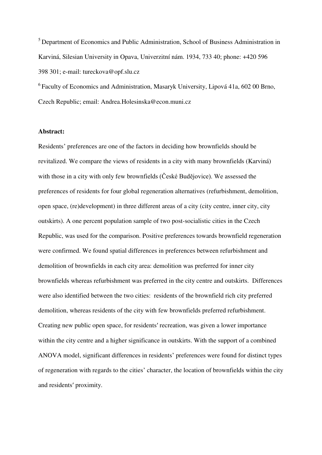<sup>5</sup> Department of Economics and Public Administration, School of Business Administration in Karviná, Silesian University in Opava, Univerzitní nám. 1934, 733 40; phone: +420 596 398 301; e-mail: tureckova@opf.slu.cz

 $6$  Faculty of Economics and Administration, Masaryk University, Lipová 41a, 602 00 Brno, Czech Republic; email: [Andrea.Holesinska@econ.muni.cz](mailto:Andrea.Holesinska@econ.muni.cz) 

#### **Abstract:**

Residents' preferences are one of the factors in deciding how brownfields should be revitalized. We compare the views of residents in a city with many brownfields (Karviná) with those in a city with only few brownfields (České Budějovice). We assessed the preferences of residents for four global regeneration alternatives (refurbishment, demolition, open space, (re)development) in three different areas of a city (city centre, inner city, city outskirts). A one percent population sample of two post-socialistic cities in the Czech Republic, was used for the comparison. Positive preferences towards brownfield regeneration were confirmed. We found spatial differences in preferences between refurbishment and demolition of brownfields in each city area: demolition was preferred for inner city brownfields whereas refurbishment was preferred in the city centre and outskirts. Differences were also identified between the two cities: residents of the brownfield rich city preferred demolition, whereas residents of the city with few brownfields preferred refurbishment. Creating new public open space, for residents′ recreation, was given a lower importance within the city centre and a higher significance in outskirts. With the support of a combined ANOVA model, significant differences in residents' preferences were found for distinct types of regeneration with regards to the cities' character, the location of brownfields within the city and residents′ proximity.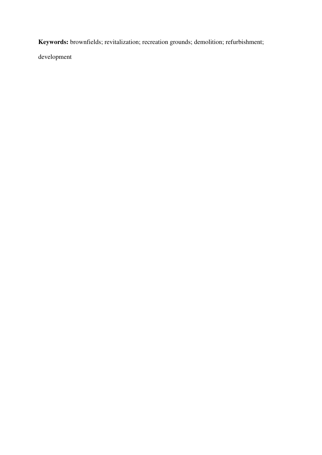**Keywords:** brownfields; revitalization; recreation grounds; demolition; refurbishment;

development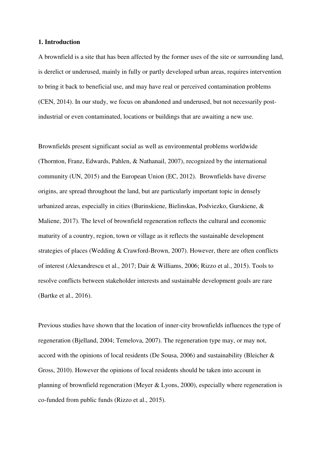#### **1. Introduction**

A brownfield is a site that has been affected by the former uses of the site or surrounding land, is derelict or underused, mainly in fully or partly developed urban areas, requires intervention to bring it back to beneficial use, and may have real or perceived contamination problems (CEN, 2014). In our study, we focus on abandoned and underused, but not necessarily postindustrial or even contaminated, locations or buildings that are awaiting a new use.

Brownfields present significant social as well as environmental problems worldwide (Thornton, Franz, Edwards, Pahlen, & Nathanail, 2007), recognized by the international community (UN, 2015) and the European Union (EC, 2012). Brownfields have diverse origins, are spread throughout the land, but are particularly important topic in densely urbanized areas, especially in cities (Burinskiene, Bielinskas, Podviezko, Gurskiene, & Maliene, 2017). The level of brownfield regeneration reflects the cultural and economic maturity of a country, region, town or village as it reflects the sustainable development strategies of places (Wedding & Crawford-Brown, 2007). However, there are often conflicts of interest (Alexandrescu et al., 2017; Dair & Williams, 2006; Rizzo et al., 2015). Tools to resolve conflicts between stakeholder interests and sustainable development goals are rare (Bartke et al., 2016).

Previous studies have shown that the location of inner-city brownfields influences the type of regeneration (Bjelland, 2004; Temelova, 2007). The regeneration type may, or may not, accord with the opinions of local residents (De Sousa, 2006) and sustainability (Bleicher & Gross, 2010). However the opinions of local residents should be taken into account in planning of brownfield regeneration (Meyer & Lyons, 2000), especially where regeneration is co-funded from public funds (Rizzo et al., 2015).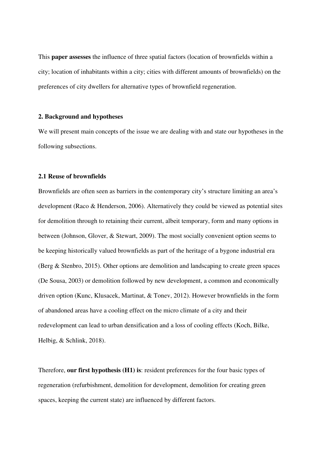This **paper assesses** the influence of three spatial factors (location of brownfields within a city; location of inhabitants within a city; cities with different amounts of brownfields) on the preferences of city dwellers for alternative types of brownfield regeneration.

#### **2. Background and hypotheses**

We will present main concepts of the issue we are dealing with and state our hypotheses in the following subsections.

#### **2.1 Reuse of brownfields**

Brownfields are often seen as barriers in the contemporary city's structure limiting an area's development (Raco & Henderson, 2006). Alternatively they could be viewed as potential sites for demolition through to retaining their current, albeit temporary, form and many options in between (Johnson, Glover, & Stewart, 2009). The most socially convenient option seems to be keeping historically valued brownfields as part of the heritage of a bygone industrial era (Berg & Stenbro, 2015). Other options are demolition and landscaping to create green spaces (De Sousa, 2003) or demolition followed by new development, a common and economically driven option (Kunc, Klusacek, Martinat, & Tonev, 2012). However brownfields in the form of abandoned areas have a cooling effect on the micro climate of a city and their redevelopment can lead to urban densification and a loss of cooling effects (Koch, Bilke, Helbig, & Schlink, 2018).

Therefore, **our first hypothesis (H1) is**: resident preferences for the four basic types of regeneration (refurbishment, demolition for development, demolition for creating green spaces, keeping the current state) are influenced by different factors.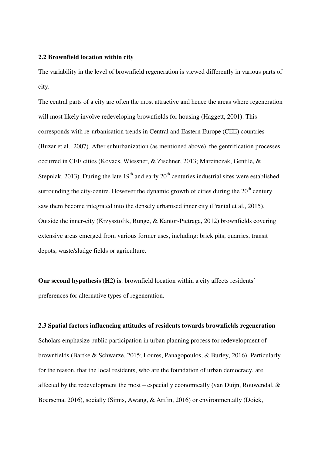#### **2.2 Brownfield location within city**

The variability in the level of brownfield regeneration is viewed differently in various parts of city.

The central parts of a city are often the most attractive and hence the areas where regeneration will most likely involve redeveloping brownfields for housing (Haggett, 2001). This corresponds with re-urbanisation trends in Central and Eastern Europe (CEE) countries (Buzar et al., 2007). After suburbanization (as mentioned above), the gentrification processes occurred in CEE cities (Kovacs, Wiessner, & Zischner, 2013; Marcinczak, Gentile, & Stepniak, 2013). During the late  $19<sup>th</sup>$  and early  $20<sup>th</sup>$  centuries industrial sites were established surrounding the city-centre. However the dynamic growth of cities during the  $20<sup>th</sup>$  century saw them become integrated into the densely urbanised inner city (Frantal et al., 2015). Outside the inner-city (Krzysztofik, Runge, & Kantor-Pietraga, 2012) brownfields covering extensive areas emerged from various former uses, including: brick pits, quarries, transit depots, waste/sludge fields or agriculture.

**Our second hypothesis (H2) is**: brownfield location within a city affects residents′ preferences for alternative types of regeneration.

### **2.3 Spatial factors influencing attitudes of residents towards brownfields regeneration**

Scholars emphasize public participation in urban planning process for redevelopment of brownfields (Bartke & Schwarze, 2015; Loures, Panagopoulos, & Burley, 2016). Particularly for the reason, that the local residents, who are the foundation of urban democracy, are affected by the redevelopment the most – especially economically (van Duijn, Rouwendal,  $\&$ Boersema, 2016), socially (Simis, Awang, & Arifin, 2016) or environmentally (Doick,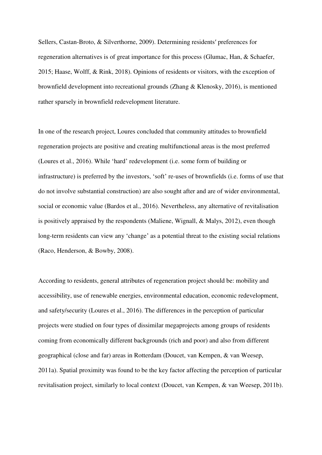Sellers, Castan-Broto, & Silverthorne, 2009). Determining residents′ preferences for regeneration alternatives is of great importance for this process (Glumac, Han, & Schaefer, 2015; Haase, Wolff, & Rink, 2018). Opinions of residents or visitors, with the exception of brownfield development into recreational grounds (Zhang & Klenosky, 2016), is mentioned rather sparsely in brownfield redevelopment literature.

In one of the research project, Loures concluded that community attitudes to brownfield regeneration projects are positive and creating multifunctional areas is the most preferred (Loures et al., 2016). While 'hard' redevelopment (i.e. some form of building or infrastructure) is preferred by the investors, 'soft' re-uses of brownfields (i.e. forms of use that do not involve substantial construction) are also sought after and are of wider environmental, social or economic value (Bardos et al., 2016). Nevertheless, any alternative of revitalisation is positively appraised by the respondents (Maliene, Wignall, & Malys, 2012), even though long-term residents can view any 'change' as a potential threat to the existing social relations (Raco, Henderson, & Bowby, 2008).

According to residents, general attributes of regeneration project should be: mobility and accessibility, use of renewable energies, environmental education, economic redevelopment, and safety/security (Loures et al., 2016). The differences in the perception of particular projects were studied on four types of dissimilar megaprojects among groups of residents coming from economically different backgrounds (rich and poor) and also from different geographical (close and far) areas in Rotterdam (Doucet, van Kempen, & van Weesep, 2011a). Spatial proximity was found to be the key factor affecting the perception of particular revitalisation project, similarly to local context (Doucet, van Kempen, & van Weesep, 2011b).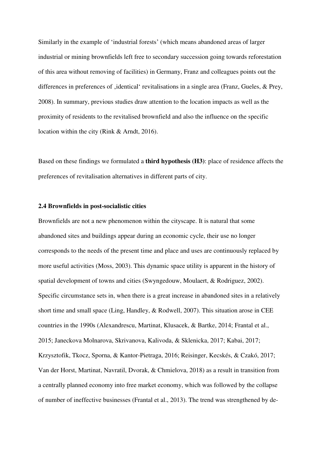Similarly in the example of 'industrial forests' (which means abandoned areas of larger industrial or mining brownfields left free to secondary succession going towards reforestation of this area without removing of facilities) in Germany, Franz and colleagues points out the differences in preferences of , identical' revitalisations in a single area (Franz, Gueles, & Prey, 2008). In summary, previous studies draw attention to the location impacts as well as the proximity of residents to the revitalised brownfield and also the influence on the specific location within the city (Rink & Arndt, 2016).

Based on these findings we formulated a **third hypothesis (H3)**: place of residence affects the preferences of revitalisation alternatives in different parts of city.

#### **2.4 Brownfields in post-socialistic cities**

Brownfields are not a new phenomenon within the cityscape. It is natural that some abandoned sites and buildings appear during an economic cycle, their use no longer corresponds to the needs of the present time and place and uses are continuously replaced by more useful activities (Moss, 2003). This dynamic space utility is apparent in the history of spatial development of towns and cities (Swyngedouw, Moulaert, & Rodriguez, 2002). Specific circumstance sets in, when there is a great increase in abandoned sites in a relatively short time and small space (Ling, Handley, & Rodwell, 2007). This situation arose in CEE countries in the 1990s (Alexandrescu, Martinat, Klusacek, & Bartke, 2014; Frantal et al., 2015; Janeckova Molnarova, Skrivanova, Kalivoda, & Sklenicka, 2017; Kabai, 2017; Krzysztofik, Tkocz, Sporna, & Kantor-Pietraga, 2016; Reisinger, Kecskés, & Czakó, 2017; Van der Horst, Martinat, Navratil, Dvorak, & Chmielova, 2018) as a result in transition from a centrally planned economy into free market economy, which was followed by the collapse of number of ineffective businesses (Frantal et al., 2013). The trend was strengthened by de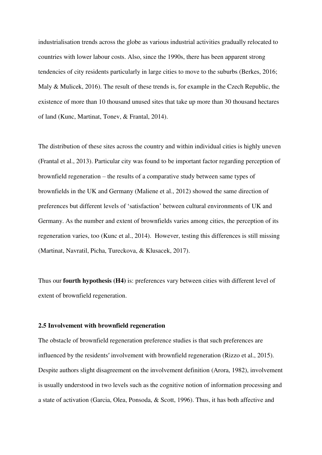industrialisation trends across the globe as various industrial activities gradually relocated to countries with lower labour costs. Also, since the 1990s, there has been apparent strong tendencies of city residents particularly in large cities to move to the suburbs (Berkes, 2016; Maly & Mulicek, 2016). The result of these trends is, for example in the Czech Republic, the existence of more than 10 thousand unused sites that take up more than 30 thousand hectares of land (Kunc, Martinat, Tonev, & Frantal, 2014).

The distribution of these sites across the country and within individual cities is highly uneven (Frantal et al., 2013). Particular city was found to be important factor regarding perception of brownfield regeneration – the results of a comparative study between same types of brownfields in the UK and Germany (Maliene et al., 2012) showed the same direction of preferences but different levels of 'satisfaction' between cultural environments of UK and Germany. As the number and extent of brownfields varies among cities, the perception of its regeneration varies, too (Kunc et al., 2014). However, testing this differences is still missing (Martinat, Navratil, Picha, Tureckova, & Klusacek, 2017).

Thus our **fourth hypothesis (H4)** is: preferences vary between cities with different level of extent of brownfield regeneration.

#### **2.5 Involvement with brownfield regeneration**

The obstacle of brownfield regeneration preference studies is that such preferences are influenced by the residents′ involvement with brownfield regeneration (Rizzo et al., 2015). Despite authors slight disagreement on the involvement definition (Arora, 1982), involvement is usually understood in two levels such as the cognitive notion of information processing and a state of activation (Garcia, Olea, Ponsoda, & Scott, 1996). Thus, it has both affective and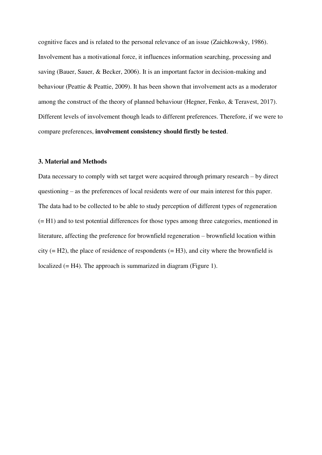cognitive faces and is related to the personal relevance of an issue (Zaichkowsky, 1986). Involvement has a motivational force, it influences information searching, processing and saving (Bauer, Sauer, & Becker, 2006). It is an important factor in decision-making and behaviour (Peattie & Peattie, 2009). It has been shown that involvement acts as a moderator among the construct of the theory of planned behaviour (Hegner, Fenko, & Teravest, 2017). Different levels of involvement though leads to different preferences. Therefore, if we were to compare preferences, **involvement consistency should firstly be tested**.

#### **3. Material and Methods**

Data necessary to comply with set target were acquired through primary research – by direct questioning – as the preferences of local residents were of our main interest for this paper. The data had to be collected to be able to study perception of different types of regeneration (= H1) and to test potential differences for those types among three categories, mentioned in literature, affecting the preference for brownfield regeneration – brownfield location within city  $(= H2)$ , the place of residence of respondents  $(= H3)$ , and city where the brownfield is localized (= H4). The approach is summarized in diagram (Figure 1).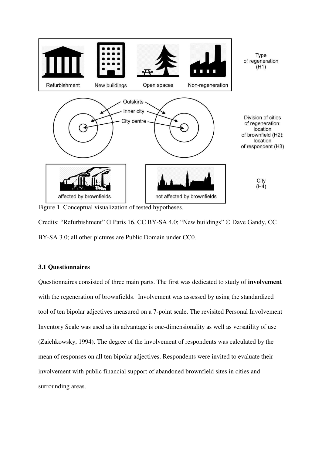

Figure 1. Conceptual visualization of tested hypotheses.

Credits: "Refurbishment" © Paris 16, CC BY-SA 4.0; "New buildings" © Dave Gandy, CC BY-SA 3.0; all other pictures are Public Domain under CC0.

#### **3.1 Questionnaires**

Questionnaires consisted of three main parts. The first was dedicated to study of **involvement** with the regeneration of brownfields. Involvement was assessed by using the standardized tool of ten bipolar adjectives measured on a 7-point scale. The revisited Personal Involvement Inventory Scale was used as its advantage is one-dimensionality as well as versatility of use (Zaichkowsky, 1994). The degree of the involvement of respondents was calculated by the mean of responses on all ten bipolar adjectives. Respondents were invited to evaluate their involvement with public financial support of abandoned brownfield sites in cities and surrounding areas.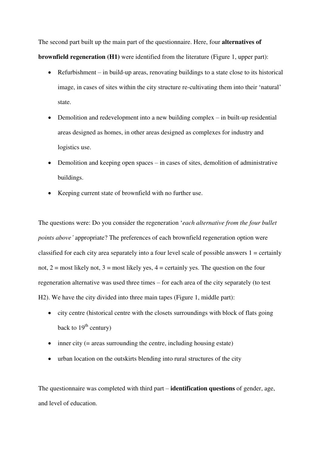The second part built up the main part of the questionnaire. Here, four **alternatives of brownfield regeneration (H1)** were identified from the literature (Figure 1, upper part):

- Refurbishment in build-up areas, renovating buildings to a state close to its historical image, in cases of sites within the city structure re-cultivating them into their 'natural' state.
- Demolition and redevelopment into a new building complex in built-up residential areas designed as homes, in other areas designed as complexes for industry and logistics use.
- Demolition and keeping open spaces in cases of sites, demolition of administrative buildings.
- Keeping current state of brownfield with no further use.

The questions were: Do you consider the regeneration '*each alternative from the four bullet points above'* appropriate? The preferences of each brownfield regeneration option were classified for each city area separately into a four level scale of possible answers  $1 =$  certainly not,  $2 = \text{most likely not}, 3 = \text{most likely yes}, 4 = \text{certainly yes}.$  The question on the four regeneration alternative was used three times – for each area of the city separately (to test H2). We have the city divided into three main tapes (Figure 1, middle part):

- city centre (historical centre with the closets surroundings with block of flats going back to  $19<sup>th</sup>$  century)
- $\bullet$  inner city (= areas surrounding the centre, including housing estate)
- urban location on the outskirts blending into rural structures of the city

The questionnaire was completed with third part – **identification questions** of gender, age, and level of education.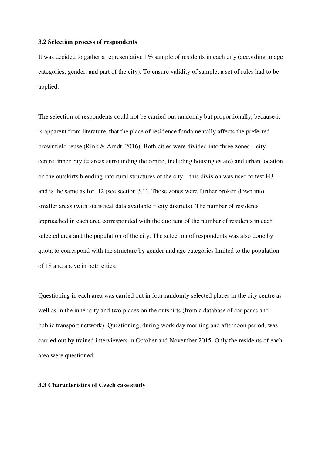#### **3.2 Selection process of respondents**

It was decided to gather a representative 1% sample of residents in each city (according to age categories, gender, and part of the city). To ensure validity of sample, a set of rules had to be applied.

The selection of respondents could not be carried out randomly but proportionally, because it is apparent from literature, that the place of residence fundamentally affects the preferred brownfield reuse (Rink & Arndt, 2016). Both cities were divided into three zones – city centre, inner city (= areas surrounding the centre, including housing estate) and urban location on the outskirts blending into rural structures of the city – this division was used to test H3 and is the same as for H2 (see section 3.1). Those zones were further broken down into smaller areas (with statistical data available  $=$  city districts). The number of residents approached in each area corresponded with the quotient of the number of residents in each selected area and the population of the city. The selection of respondents was also done by quota to correspond with the structure by gender and age categories limited to the population of 18 and above in both cities.

Questioning in each area was carried out in four randomly selected places in the city centre as well as in the inner city and two places on the outskirts (from a database of car parks and public transport network). Questioning, during work day morning and afternoon period, was carried out by trained interviewers in October and November 2015. Only the residents of each area were questioned.

#### **3.3 Characteristics of Czech case study**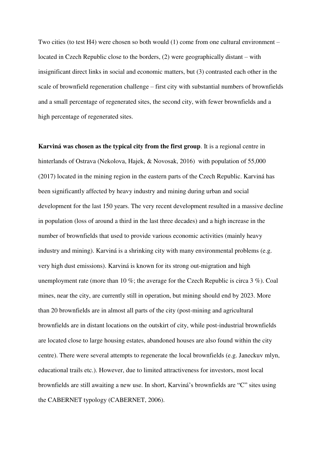Two cities (to test H4) were chosen so both would (1) come from one cultural environment – located in Czech Republic close to the borders, (2) were geographically distant – with insignificant direct links in social and economic matters, but (3) contrasted each other in the scale of brownfield regeneration challenge – first city with substantial numbers of brownfields and a small percentage of regenerated sites, the second city, with fewer brownfields and a high percentage of regenerated sites.

**Karviná was chosen as the typical city from the first group**. It is a regional centre in hinterlands of Ostrava (Nekolova, Hajek, & Novosak, 2016) with population of 55,000 (2017) located in the mining region in the eastern parts of the Czech Republic. Karviná has been significantly affected by heavy industry and mining during urban and social development for the last 150 years. The very recent development resulted in a massive decline in population (loss of around a third in the last three decades) and a high increase in the number of brownfields that used to provide various economic activities (mainly heavy industry and mining). Karviná is a shrinking city with many environmental problems (e.g. very high dust emissions). Karviná is known for its strong out-migration and high unemployment rate (more than 10 %; the average for the Czech Republic is circa 3 %). Coal mines, near the city, are currently still in operation, but mining should end by 2023. More than 20 brownfields are in almost all parts of the city (post-mining and agricultural brownfields are in distant locations on the outskirt of city, while post-industrial brownfields are located close to large housing estates, abandoned houses are also found within the city centre). There were several attempts to regenerate the local brownfields (e.g. Janeckuv mlyn, educational trails etc.). However, due to limited attractiveness for investors, most local brownfields are still awaiting a new use. In short, Karviná's brownfields are "C" sites using the CABERNET typology (CABERNET, 2006).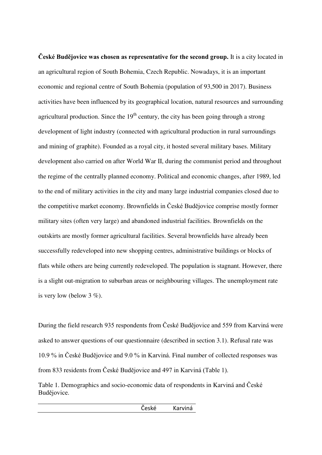**České Budějovice was chosen as representative for the second group.** It is a city located in an agricultural region of South Bohemia, Czech Republic. Nowadays, it is an important economic and regional centre of South Bohemia (population of 93,500 in 2017). Business activities have been influenced by its geographical location, natural resources and surrounding agricultural production. Since the  $19<sup>th</sup>$  century, the city has been going through a strong development of light industry (connected with agricultural production in rural surroundings and mining of graphite). Founded as a royal city, it hosted several military bases. Military development also carried on after World War II, during the communist period and throughout the regime of the centrally planned economy. Political and economic changes, after 1989, led to the end of military activities in the city and many large industrial companies closed due to the competitive market economy. Brownfields in České Budějovice comprise mostly former military sites (often very large) and abandoned industrial facilities. Brownfields on the outskirts are mostly former agricultural facilities. Several brownfields have already been successfully redeveloped into new shopping centres, administrative buildings or blocks of flats while others are being currently redeveloped. The population is stagnant. However, there is a slight out-migration to suburban areas or neighbouring villages. The unemployment rate is very low (below  $3\%$ ).

During the field research 935 respondents from České Budějovice and 559 from Karviná were asked to answer questions of our questionnaire (described in section 3.1). Refusal rate was 10.9 % in České Budějovice and 9.0 % in Karviná. Final number of collected responses was from 833 residents from České Budějovice and 497 in Karviná (Table 1).

Table 1. Demographics and socio-economic data of respondents in Karviná and České Budějovice.

z za nastavaným v České – Karviná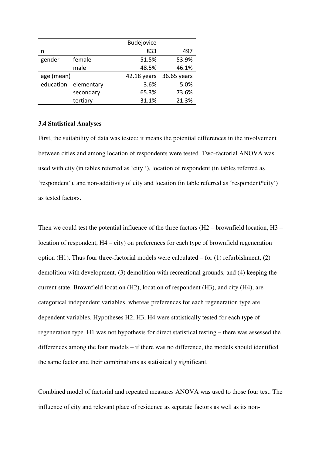|            |            | Budějovice  |             |
|------------|------------|-------------|-------------|
| n          |            | 833         | 497         |
| gender     | female     | 51.5%       | 53.9%       |
|            | male       | 48.5%       | 46.1%       |
| age (mean) |            | 42.18 years | 36.65 years |
| education  | elementary | 3.6%        | 5.0%        |
|            | secondary  | 65.3%       | 73.6%       |
|            | tertiary   | 31.1%       | 21.3%       |

#### **3.4 Statistical Analyses**

First, the suitability of data was tested; it means the potential differences in the involvement between cities and among location of respondents were tested. Two-factorial ANOVA was used with city (in tables referred as 'city '), location of respondent (in tables referred as 'respondent'), and non-additivity of city and location (in table referred as 'respondent\*city') as tested factors.

Then we could test the potential influence of the three factors (H2 – brownfield location, H3 – location of respondent, H4 – city) on preferences for each type of brownfield regeneration option (H1). Thus four three-factorial models were calculated – for  $(1)$  refurbishment,  $(2)$ demolition with development, (3) demolition with recreational grounds, and (4) keeping the current state. Brownfield location (H2), location of respondent (H3), and city (H4), are categorical independent variables, whereas preferences for each regeneration type are dependent variables. Hypotheses H2, H3, H4 were statistically tested for each type of regeneration type. H1 was not hypothesis for direct statistical testing – there was assessed the differences among the four models – if there was no difference, the models should identified the same factor and their combinations as statistically significant.

Combined model of factorial and repeated measures ANOVA was used to those four test. The influence of city and relevant place of residence as separate factors as well as its non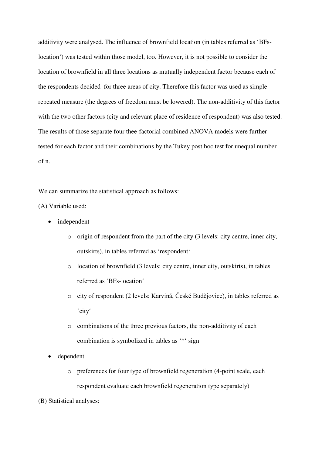additivity were analysed. The influence of brownfield location (in tables referred as 'BFslocation') was tested within those model, too. However, it is not possible to consider the location of brownfield in all three locations as mutually independent factor because each of the respondents decided for three areas of city. Therefore this factor was used as simple repeated measure (the degrees of freedom must be lowered). The non-additivity of this factor with the two other factors (city and relevant place of residence of respondent) was also tested. The results of those separate four thee-factorial combined ANOVA models were further tested for each factor and their combinations by the Tukey post hoc test for unequal number of n.

We can summarize the statistical approach as follows:

(A) Variable used:

- independent
	- o origin of respondent from the part of the city (3 levels: city centre, inner city, outskirts), in tables referred as 'respondent'
	- o location of brownfield (3 levels: city centre, inner city, outskirts), in tables referred as 'BFs-location'
	- o city of respondent (2 levels: Karviná, České Budějovice), in tables referred as 'city'
	- o combinations of the three previous factors, the non-additivity of each combination is symbolized in tables as '\*' sign
- dependent
	- o preferences for four type of brownfield regeneration (4-point scale, each respondent evaluate each brownfield regeneration type separately)
- (B) Statistical analyses: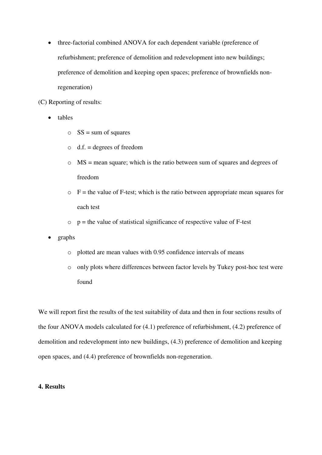• three-factorial combined ANOVA for each dependent variable (preference of refurbishment; preference of demolition and redevelopment into new buildings; preference of demolition and keeping open spaces; preference of brownfields nonregeneration)

(C) Reporting of results:

- tables
	- $\circ$  SS = sum of squares
	- $\circ$  d.f. = degrees of freedom
	- o MS = mean square; which is the ratio between sum of squares and degrees of freedom
	- $\circ$  F = the value of F-test; which is the ratio between appropriate mean squares for each test
	- $p =$  the value of statistical significance of respective value of F-test
- graphs
	- o plotted are mean values with 0.95 confidence intervals of means
	- o only plots where differences between factor levels by Tukey post-hoc test were found

We will report first the results of the test suitability of data and then in four sections results of the four ANOVA models calculated for (4.1) preference of refurbishment, (4.2) preference of demolition and redevelopment into new buildings, (4.3) preference of demolition and keeping open spaces, and (4.4) preference of brownfields non-regeneration.

#### **4. Results**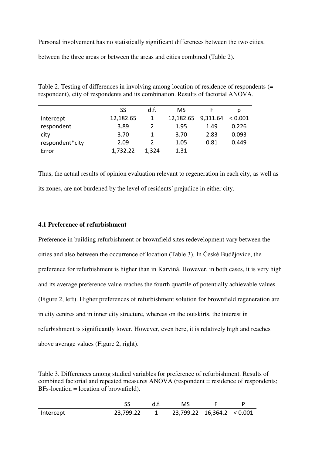Personal involvement has no statistically significant differences between the two cities,

between the three areas or between the areas and cities combined (Table 2).

Table 2. Testing of differences in involving among location of residence of respondents (= respondent), city of respondents and its combination. Results of factorial ANOVA.

|                 | SS        | d.f.  | MS        |          |         |
|-----------------|-----------|-------|-----------|----------|---------|
| Intercept       | 12,182.65 |       | 12,182.65 | 9,311.64 | < 0.001 |
| respondent      | 3.89      |       | 1.95      | 1.49     | 0.226   |
| city            | 3.70      |       | 3.70      | 2.83     | 0.093   |
| respondent*city | 2.09      |       | 1.05      | 0.81     | 0.449   |
| Error           | 1,732.22  | 1,324 | 1.31      |          |         |

Thus, the actual results of opinion evaluation relevant to regeneration in each city, as well as its zones, are not burdened by the level of residents′ prejudice in either city.

#### **4.1 Preference of refurbishment**

Preference in building refurbishment or brownfield sites redevelopment vary between the cities and also between the occurrence of location (Table 3). In České Budějovice, the preference for refurbishment is higher than in Karviná. However, in both cases, it is very high and its average preference value reaches the fourth quartile of potentially achievable values (Figure 2, left). Higher preferences of refurbishment solution for brownfield regeneration are in city centres and in inner city structure, whereas on the outskirts, the interest in refurbishment is significantly lower. However, even here, it is relatively high and reaches above average values (Figure 2, right).

Table 3. Differences among studied variables for preference of refurbishment. Results of combined factorial and repeated measures ANOVA (respondent = residence of respondents;  $BFs-location = location of brownfield$ .

|           |           | MS                         |  |
|-----------|-----------|----------------------------|--|
| Intercept | 23,799.22 | 23,799.22 16,364.2 < 0.001 |  |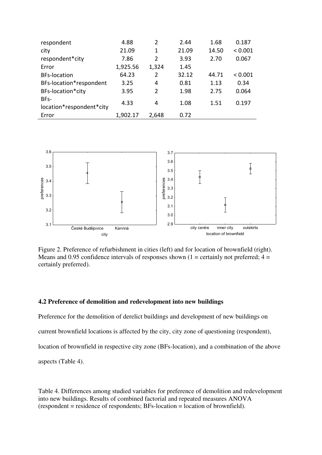| 4.88     | $\overline{2}$ | 2.44  | 1.68  | 0.187   |
|----------|----------------|-------|-------|---------|
| 21.09    | 1              | 21.09 | 14.50 | < 0.001 |
| 7.86     | $\mathfrak z$  | 3.93  | 2.70  | 0.067   |
| 1,925.56 | 1,324          | 1.45  |       |         |
| 64.23    | $\overline{2}$ | 32.12 | 44.71 | < 0.001 |
| 3.25     | 4              | 0.81  | 1.13  | 0.34    |
| 3.95     | $\overline{2}$ | 1.98  | 2.75  | 0.064   |
| 4.33     | 4              | 1.08  | 1.51  | 0.197   |
| 1,902.17 | 2,648          | 0.72  |       |         |
|          |                |       |       |         |



Figure 2. Preference of refurbishment in cities (left) and for location of brownfield (right). Means and 0.95 confidence intervals of responses shown (1 = certainly not preferred;  $4 =$ certainly preferred).

#### **4.2 Preference of demolition and redevelopment into new buildings**

Preference for the demolition of derelict buildings and development of new buildings on

current brownfield locations is affected by the city, city zone of questioning (respondent),

location of brownfield in respective city zone (BFs-location), and a combination of the above

aspects (Table 4).

Table 4. Differences among studied variables for preference of demolition and redevelopment into new buildings. Results of combined factorial and repeated measures ANOVA (respondent = residence of respondents; BFs-location = location of brownfield).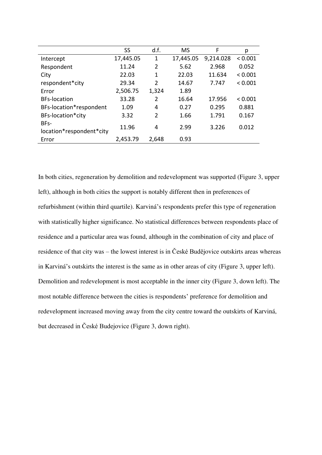|                                  | SS        | d.f.           | <b>MS</b> | F         | р       |
|----------------------------------|-----------|----------------|-----------|-----------|---------|
| Intercept                        | 17,445.05 | 1              | 17,445.05 | 9,214.028 | < 0.001 |
| Respondent                       | 11.24     | $\overline{2}$ | 5.62      | 2.968     | 0.052   |
| City                             | 22.03     | 1              | 22.03     | 11.634    | < 0.001 |
| respondent*city                  | 29.34     | $\overline{2}$ | 14.67     | 7.747     | < 0.001 |
| Error                            | 2,506.75  | 1,324          | 1.89      |           |         |
| <b>BFs-location</b>              | 33.28     | $\overline{2}$ | 16.64     | 17.956    | < 0.001 |
| BFs-location*respondent          | 1.09      | 4              | 0.27      | 0.295     | 0.881   |
| BFs-location*city                | 3.32      | $\overline{2}$ | 1.66      | 1.791     | 0.167   |
| BFs-<br>location*respondent*city | 11.96     | 4              | 2.99      | 3.226     | 0.012   |
| Error                            | 2,453.79  | 2,648          | 0.93      |           |         |

In both cities, regeneration by demolition and redevelopment was supported (Figure 3, upper left), although in both cities the support is notably different then in preferences of refurbishment (within third quartile). Karviná's respondents prefer this type of regeneration with statistically higher significance. No statistical differences between respondents place of residence and a particular area was found, although in the combination of city and place of residence of that city was – the lowest interest is in České Budějovice outskirts areas whereas in Karviná's outskirts the interest is the same as in other areas of city (Figure 3, upper left). Demolition and redevelopment is most acceptable in the inner city (Figure 3, down left). The most notable difference between the cities is respondents' preference for demolition and redevelopment increased moving away from the city centre toward the outskirts of Karviná, but decreased in České Budejovice (Figure 3, down right).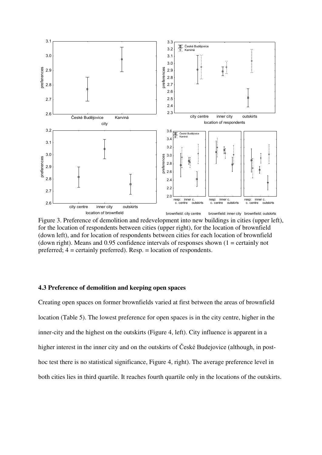

Figure 3. Preference of demolition and redevelopment into new buildings in cities (upper left), for the location of respondents between cities (upper right), for the location of brownfield (down left), and for location of respondents between cities for each location of brownfield (down right). Means and 0.95 confidence intervals of responses shown  $(1 = \text{certainly not})$ preferred; 4 = certainly preferred). Resp. = location of respondents.

#### **4.3 Preference of demolition and keeping open spaces**

Creating open spaces on former brownfields varied at first between the areas of brownfield location (Table 5). The lowest preference for open spaces is in the city centre, higher in the inner-city and the highest on the outskirts (Figure 4, left). City influence is apparent in a higher interest in the inner city and on the outskirts of České Budejovice (although, in posthoc test there is no statistical significance, Figure 4, right). The average preference level in both cities lies in third quartile. It reaches fourth quartile only in the locations of the outskirts.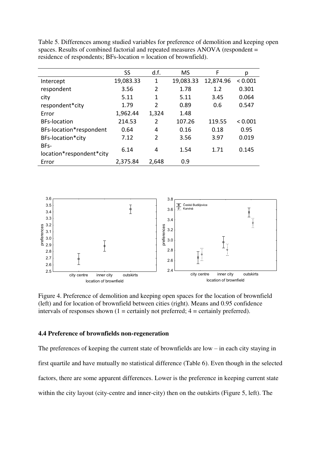|                          | SS        | d.f.           | <b>MS</b> | F         | р       |
|--------------------------|-----------|----------------|-----------|-----------|---------|
| Intercept                | 19,083.33 | 1              | 19,083.33 | 12,874.96 | < 0.001 |
| respondent               | 3.56      | 2              | 1.78      | 1.2       | 0.301   |
| city                     | 5.11      | 1              | 5.11      | 3.45      | 0.064   |
| respondent*city          | 1.79      | $\overline{2}$ | 0.89      | 0.6       | 0.547   |
| Error                    | 1,962.44  | 1,324          | 1.48      |           |         |
| <b>BFs-location</b>      | 214.53    | $\overline{2}$ | 107.26    | 119.55    | < 0.001 |
| BFs-location*respondent  | 0.64      | 4              | 0.16      | 0.18      | 0.95    |
| BFs-location*city        | 7.12      | $\overline{2}$ | 3.56      | 3.97      | 0.019   |
| BFs-                     | 6.14      | 4              | 1.54      | 1.71      | 0.145   |
| location*respondent*city |           |                |           |           |         |
| Error                    | 2,375.84  | 2,648          | 0.9       |           |         |

Table 5. Differences among studied variables for preference of demolition and keeping open spaces. Results of combined factorial and repeated measures ANOVA (respondent = residence of respondents; BFs-location = location of brownfield).



Figure 4. Preference of demolition and keeping open spaces for the location of brownfield (left) and for location of brownfield between cities (right). Means and 0.95 confidence intervals of responses shown  $(1 = \text{certainly not preferred}; 4 = \text{certainly preferred}).$ 

#### **4.4 Preference of brownfields non-regeneration**

The preferences of keeping the current state of brownfields are low – in each city staying in first quartile and have mutually no statistical difference (Table 6). Even though in the selected factors, there are some apparent differences. Lower is the preference in keeping current state within the city layout (city-centre and inner-city) then on the outskirts (Figure 5, left). The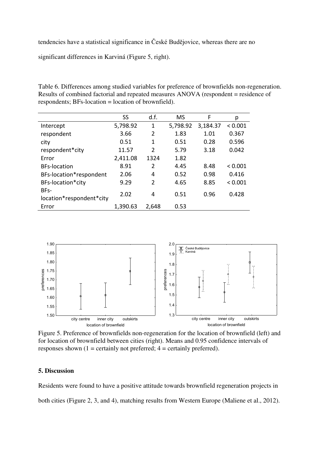tendencies have a statistical significance in České Budějovice, whereas there are no

significant differences in Karviná (Figure 5, right).

Table 6. Differences among studied variables for preference of brownfields non-regeneration. Results of combined factorial and repeated measures ANOVA (respondent = residence of respondents; BFs-location = location of brownfield).

|                          | SS       | d.f.           | <b>MS</b> | F        | р       |
|--------------------------|----------|----------------|-----------|----------|---------|
| Intercept                | 5,798.92 | 1              | 5,798.92  | 3,184.37 | < 0.001 |
| respondent               | 3.66     | $\overline{2}$ | 1.83      | 1.01     | 0.367   |
| city                     | 0.51     | 1              | 0.51      | 0.28     | 0.596   |
| respondent*city          | 11.57    | $\mathcal{P}$  | 5.79      | 3.18     | 0.042   |
| Error                    | 2,411.08 | 1324           | 1.82      |          |         |
| <b>BFs-location</b>      | 8.91     | $\mathcal{P}$  | 4.45      | 8.48     | < 0.001 |
| BFs-location*respondent  | 2.06     | 4              | 0.52      | 0.98     | 0.416   |
| BFs-location*city        | 9.29     | $\mathcal{P}$  | 4.65      | 8.85     | < 0.001 |
| BFs-                     | 2.02     | 4              | 0.51      | 0.96     | 0.428   |
| location*respondent*city |          |                |           |          |         |
| Error                    | 1,390.63 | 2,648          | 0.53      |          |         |



Figure 5. Preference of brownfields non-regeneration for the location of brownfield (left) and for location of brownfield between cities (right). Means and 0.95 confidence intervals of responses shown  $(1 = \text{certainly not preferred}; 4 = \text{certainly preferred}).$ 

#### **5. Discussion**

Residents were found to have a positive attitude towards brownfield regeneration projects in both cities (Figure 2, 3, and 4), matching results from Western Europe (Maliene et al., 2012).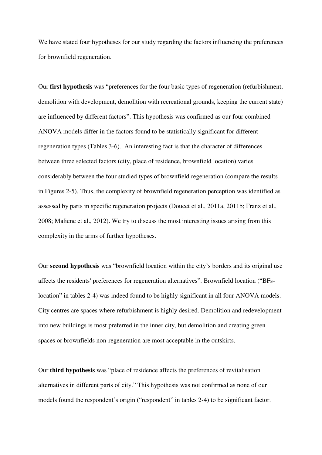We have stated four hypotheses for our study regarding the factors influencing the preferences for brownfield regeneration.

Our **first hypothesis** was "preferences for the four basic types of regeneration (refurbishment, demolition with development, demolition with recreational grounds, keeping the current state) are influenced by different factors". This hypothesis was confirmed as our four combined ANOVA models differ in the factors found to be statistically significant for different regeneration types (Tables 3-6). An interesting fact is that the character of differences between three selected factors (city, place of residence, brownfield location) varies considerably between the four studied types of brownfield regeneration (compare the results in Figures 2-5). Thus, the complexity of brownfield regeneration perception was identified as assessed by parts in specific regeneration projects (Doucet et al., 2011a, 2011b; Franz et al., 2008; Maliene et al., 2012). We try to discuss the most interesting issues arising from this complexity in the arms of further hypotheses.

Our **second hypothesis** was "brownfield location within the city's borders and its original use affects the residents′ preferences for regeneration alternatives". Brownfield location ("BFslocation" in tables 2-4) was indeed found to be highly significant in all four ANOVA models. City centres are spaces where refurbishment is highly desired. Demolition and redevelopment into new buildings is most preferred in the inner city, but demolition and creating green spaces or brownfields non-regeneration are most acceptable in the outskirts.

Our **third hypothesis** was "place of residence affects the preferences of revitalisation alternatives in different parts of city." This hypothesis was not confirmed as none of our models found the respondent's origin ("respondent" in tables 2-4) to be significant factor.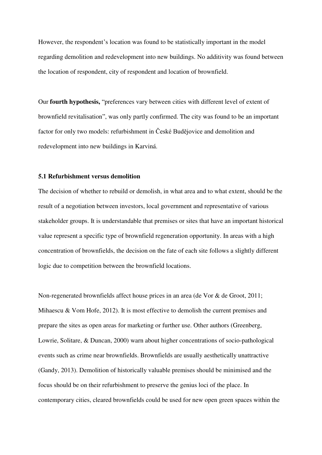However, the respondent's location was found to be statistically important in the model regarding demolition and redevelopment into new buildings. No additivity was found between the location of respondent, city of respondent and location of brownfield.

Our **fourth hypothesis,** "preferences vary between cities with different level of extent of brownfield revitalisation", was only partly confirmed. The city was found to be an important factor for only two models: refurbishment in České Budějovice and demolition and redevelopment into new buildings in Karviná.

#### **5.1 Refurbishment versus demolition**

The decision of whether to rebuild or demolish, in what area and to what extent, should be the result of a negotiation between investors, local government and representative of various stakeholder groups. It is understandable that premises or sites that have an important historical value represent a specific type of brownfield regeneration opportunity. In areas with a high concentration of brownfields, the decision on the fate of each site follows a slightly different logic due to competition between the brownfield locations.

Non-regenerated brownfields affect house prices in an area (de Vor & de Groot, 2011; Mihaescu & Vom Hofe, 2012). It is most effective to demolish the current premises and prepare the sites as open areas for marketing or further use. Other authors (Greenberg, Lowrie, Solitare, & Duncan, 2000) warn about higher concentrations of socio-pathological events such as crime near brownfields. Brownfields are usually aesthetically unattractive (Gandy, 2013). Demolition of historically valuable premises should be minimised and the focus should be on their refurbishment to preserve the genius loci of the place. In contemporary cities, cleared brownfields could be used for new open green spaces within the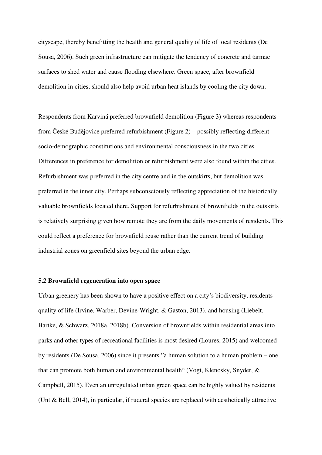cityscape, thereby benefitting the health and general quality of life of local residents (De Sousa, 2006). Such green infrastructure can mitigate the tendency of concrete and tarmac surfaces to shed water and cause flooding elsewhere. Green space, after brownfield demolition in cities, should also help avoid urban heat islands by cooling the city down.

Respondents from Karviná preferred brownfield demolition (Figure 3) whereas respondents from České Budějovice preferred refurbishment (Figure 2) – possibly reflecting different socio-demographic constitutions and environmental consciousness in the two cities. Differences in preference for demolition or refurbishment were also found within the cities. Refurbishment was preferred in the city centre and in the outskirts, but demolition was preferred in the inner city. Perhaps subconsciously reflecting appreciation of the historically valuable brownfields located there. Support for refurbishment of brownfields in the outskirts is relatively surprising given how remote they are from the daily movements of residents. This could reflect a preference for brownfield reuse rather than the current trend of building industrial zones on greenfield sites beyond the urban edge.

#### **5.2 Brownfield regeneration into open space**

Urban greenery has been shown to have a positive effect on a city's biodiversity, residents quality of life (Irvine, Warber, Devine-Wright, & Gaston, 2013), and housing (Liebelt, Bartke, & Schwarz, 2018a, 2018b). Conversion of brownfields within residential areas into parks and other types of recreational facilities is most desired (Loures, 2015) and welcomed by residents (De Sousa, 2006) since it presents "a human solution to a human problem – one that can promote both human and environmental health" (Vogt, Klenosky, Snyder, & Campbell, 2015). Even an unregulated urban green space can be highly valued by residents (Unt & Bell, 2014), in particular, if ruderal species are replaced with aesthetically attractive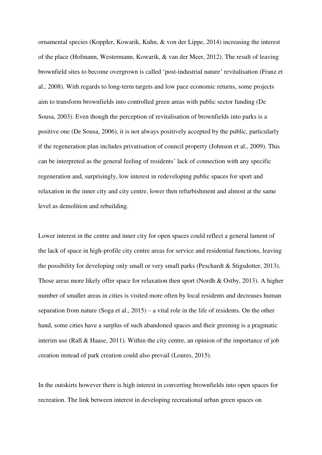ornamental species (KoppIer, Kowarik, Kuhn, & von der Lippe, 2014) increasing the interest of the place (Hofmann, Westermann, Kowarik, & van der Meer, 2012). The result of leaving brownfield sites to become overgrown is called 'post-industrial nature' revitalisation (Franz et al., 2008). With regards to long-term targets and low pace economic returns, some projects aim to transform brownfields into controlled green areas with public sector funding (De Sousa, 2003). Even though the perception of revitalisation of brownfields into parks is a positive one (De Sousa, 2006), it is not always positively accepted by the public, particularly if the regeneration plan includes privatisation of council property (Johnson et al., 2009). This can be interpreted as the general feeling of residents' lack of connection with any specific regeneration and, surprisingly, low interest in redeveloping public spaces for sport and relaxation in the inner city and city centre, lower then refurbishment and almost at the same level as demolition and rebuilding.

Lower interest in the centre and inner city for open spaces could reflect a general lament of the lack of space in high-profile city centre areas for service and residential functions, leaving the possibility for developing only small or very small parks (Peschardt & Stigsdotter, 2013). Those areas more likely offer space for relaxation then sport (Nordh & Ostby, 2013). A higher number of smaller areas in cities is visited more often by local residents and decreases human separation from nature (Soga et al., 2015) – a vital role in the life of residents. On the other hand, some cities have a surplus of such abandoned spaces and their greening is a pragmatic interim use (Rall & Haase, 2011). Within the city centre, an opinion of the importance of job creation instead of park creation could also prevail (Loures, 2015).

In the outskirts however there is high interest in converting brownfields into open spaces for recreation. The link between interest in developing recreational urban green spaces on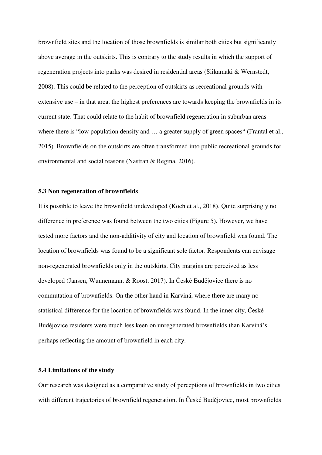brownfield sites and the location of those brownfields is similar both cities but significantly above average in the outskirts. This is contrary to the study results in which the support of regeneration projects into parks was desired in residential areas (Siikamaki & Wernstedt, 2008). This could be related to the perception of outskirts as recreational grounds with extensive use – in that area, the highest preferences are towards keeping the brownfields in its current state. That could relate to the habit of brownfield regeneration in suburban areas where there is "low population density and ... a greater supply of green spaces" (Frantal et al., 2015). Brownfields on the outskirts are often transformed into public recreational grounds for environmental and social reasons (Nastran & Regina, 2016).

#### **5.3 Non regeneration of brownfields**

It is possible to leave the brownfield undeveloped (Koch et al., 2018). Quite surprisingly no difference in preference was found between the two cities (Figure 5). However, we have tested more factors and the non-additivity of city and location of brownfield was found. The location of brownfields was found to be a significant sole factor. Respondents can envisage non-regenerated brownfields only in the outskirts. City margins are perceived as less developed (Jansen, Wunnemann, & Roost, 2017). In České Budějovice there is no commutation of brownfields. On the other hand in Karviná, where there are many no statistical difference for the location of brownfields was found. In the inner city, České Budějovice residents were much less keen on unregenerated brownfields than Karviná's, perhaps reflecting the amount of brownfield in each city.

#### **5.4 Limitations of the study**

Our research was designed as a comparative study of perceptions of brownfields in two cities with different trajectories of brownfield regeneration. In České Budějovice, most brownfields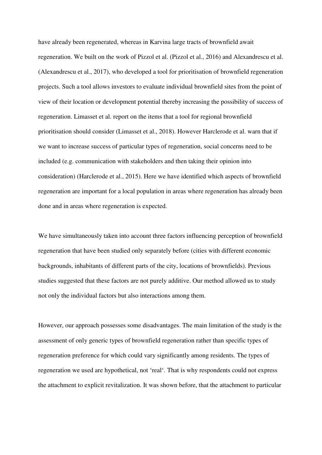have already been regenerated, whereas in Karvina large tracts of brownfield await regeneration. We built on the work of Pizzol et al. (Pizzol et al., 2016) and Alexandrescu et al. (Alexandrescu et al., 2017), who developed a tool for prioritisation of brownfield regeneration projects. Such a tool allows investors to evaluate individual brownfield sites from the point of view of their location or development potential thereby increasing the possibility of success of regeneration. Limasset et al. report on the items that a tool for regional brownfield prioritisation should consider (Limasset et al., 2018). However Harclerode et al. warn that if we want to increase success of particular types of regeneration, social concerns need to be included (e.g. communication with stakeholders and then taking their opinion into consideration) (Harclerode et al., 2015). Here we have identified which aspects of brownfield regeneration are important for a local population in areas where regeneration has already been done and in areas where regeneration is expected.

We have simultaneously taken into account three factors influencing perception of brownfield regeneration that have been studied only separately before (cities with different economic backgrounds, inhabitants of different parts of the city, locations of brownfields). Previous studies suggested that these factors are not purely additive. Our method allowed us to study not only the individual factors but also interactions among them.

However, our approach possesses some disadvantages. The main limitation of the study is the assessment of only generic types of brownfield regeneration rather than specific types of regeneration preference for which could vary significantly among residents. The types of regeneration we used are hypothetical, not 'real'. That is why respondents could not express the attachment to explicit revitalization. It was shown before, that the attachment to particular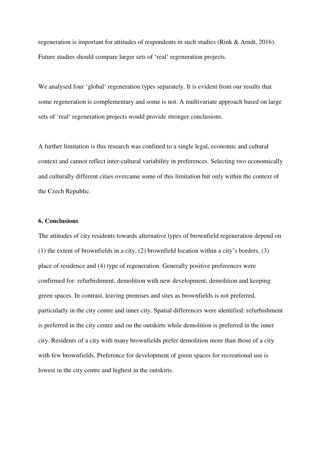regeneration is important for attitudes of respondents in such studies (Rink & Arndt, 2016). Future studies should compare larger sets of 'real' regeneration projects.

We analysed four 'global' regeneration types separately. It is evident from our results that some regeneration is complementary and some is not. A multivariate approach based on large sets of 'real' regeneration projects would provide stronger conclusions.

A further limitation is this research was confined to a single legal, economic and cultural context and cannot reflect inter-cultural variability in preferences. Selecting two economically and culturally different cities overcame some of this limitation but only within the context of the Czech Republic.

#### **6. Conclusions**

The attitudes of city residents towards alternative types of brownfield regeneration depend on (1) the extent of brownfields in a city, (2) brownfield location within a city's borders, (3) place of residence and (4) type of regeneration. Generally positive preferences were confirmed for: refurbishment, demolition with new development, demolition and keeping green spaces. In contrast, leaving premises and sites as brownfields is not preferred, particularly in the city centre and inner city. Spatial differences were identified: refurbishment is preferred in the city centre and on the outskirts while demolition is preferred in the inner city. Residents of a city with many brownfields prefer demolition more than those of a city with few brownfields. Preference for development of green spaces for recreational use is lowest in the city centre and highest in the outskirts.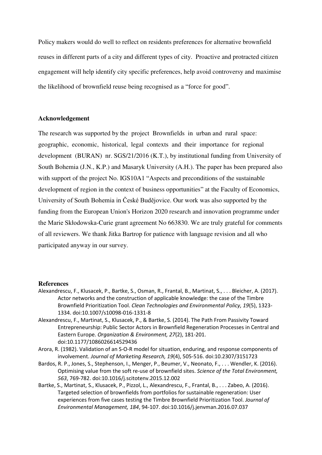Policy makers would do well to reflect on residents preferences for alternative brownfield reuses in different parts of a city and different types of city. Proactive and protracted citizen engagement will help identify city specific preferences, help avoid controversy and maximise the likelihood of brownfield reuse being recognised as a "force for good".

#### **Acknowledgement**

The research was supported by the project Brownfields in urban and rural space: geographic, economic, historical, legal contexts and their importance for regional development (BURAN) nr. SGS/21/2016 (K.T.), by institutional funding from University of South Bohemia (J.N., K.P.) and Masaryk University (A.H.). The paper has been prepared also with support of the project No. IGS10A1 "Aspects and preconditions of the sustainable development of region in the context of business opportunities" at the Faculty of Economics, University of South Bohemia in České Budějovice. Our work was also supported by the funding from the European Union's Horizon 2020 research and innovation programme under the Marie Skłodowska-Curie grant agreement No 663830. We are truly grateful for comments of all reviewers. We thank Jitka Bartrop for patience with language revision and all who participated anyway in our survey.

#### **References**

- Alexandrescu, F., Klusacek, P., Bartke, S., Osman, R., Frantal, B., Martinat, S., . . . Bleicher, A. (2017). Actor networks and the construction of applicable knowledge: the case of the Timbre Brownfield Prioritization Tool. *Clean Technologies and Environmental Policy, 19*(5), 1323- 1334. doi:10.1007/s10098-016-1331-8
- Alexandrescu, F., Martinat, S., Klusacek, P., & Bartke, S. (2014). The Path From Passivity Toward Entrepreneurship: Public Sector Actors in Brownfield Regeneration Processes in Central and Eastern Europe. *Organization & Environment, 27*(2), 181-201. doi:10.1177/1086026614529436
- Arora, R. (1982). Validation of an S-O-R model for situation, enduring, and response components of involvement. *Journal of Marketing Research, 19*(4), 505-516. doi:10.2307/3151723
- Bardos, R. P., Jones, S., Stephenson, I., Menger, P., Beumer, V., Neonato, F., . . . Wendler, K. (2016). Optimising value from the soft re-use of brownfield sites. *Science of the Total Environment, 563*, 769-782. doi:10.1016/j.scitotenv.2015.12.002
- Bartke, S., Martinat, S., Klusacek, P., Pizzol, L., Alexandrescu, F., Frantal, B., . . . Zabeo, A. (2016). Targeted selection of brownfields from portfolios for sustainable regeneration: User experiences from five cases testing the Timbre Brownfield Prioritization Tool. *Journal of Environmental Management, 184*, 94-107. doi:10.1016/j.jenvman.2016.07.037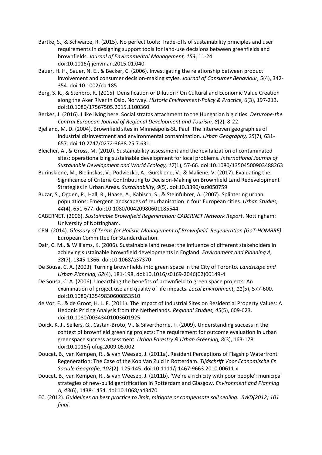- Bartke, S., & Schwarze, R. (2015). No perfect tools: Trade-offs of sustainability principles and user requirements in designing support tools for land-use decisions between greenfields and brownfields. *Journal of Environmental Management, 153*, 11-24. doi:10.1016/j.jenvman.2015.01.040
- Bauer, H. H., Sauer, N. E., & Becker, C. (2006). Investigating the relationship between product involvement and consumer decision-making styles. *Journal of Consumer Behaviour, 5*(4), 342- 354. doi:10.1002/cb.185
- Berg, S. K., & Stenbro, R. (2015). Densification or Dilution? On Cultural and Economic Value Creation along the Aker River in Oslo, Norway. *Historic Environment-Policy & Practice, 6*(3), 197-213. doi:10.1080/17567505.2015.1100360
- Berkes, J. (2016). I like living here. Social stratas attachment to the Hungarian big cities. *Deturope-the Central European Journal of Regional Development and Tourism, 8*(2), 8-22.
- Bjelland, M. D. (2004). Brownfield sites in Minneapolis-St. Paul: The interwoven geographies of industrial disinvestment and environmental contamination. *Urban Geography, 25*(7), 631- 657. doi:10.2747/0272-3638.25.7.631
- Bleicher, A., & Gross, M. (2010). Sustainability assessment and the revitalization of contaminated sites: operationalizing sustainable development for local problems. *International Journal of Sustainable Development and World Ecology, 17*(1), 57-66. doi:10.1080/13504500903488263
- Burinskiene, M., Bielinskas, V., Podviezko, A., Gurskiene, V., & Maliene, V. (2017). Evaluating the Significance of Criteria Contributing to Decision-Making on Brownfield Land Redevelopment Strategies in Urban Areas. *Sustainability, 9*(5). doi:10.3390/su9050759
- Buzar, S., Ogden, P., Hall, R., Haase, A., Kabisch, S., & Steinfuhrer, A. (2007). Splintering urban populations: Emergent landscapes of reurbanisation in four European cities. *Urban Studies, 44*(4), 651-677. doi:10.1080/00420980601185544
- CABERNET. (2006). *Sustainable Brownfield Regeneration: CABERNET Network Report*. Nottingham: University of Nottingham.
- CEN. (2014). *Glossary of Terms for Holistic Management of Brownfield Regeneration (GoT-HOMBRE)*: European Committee for Standardization.
- Dair, C. M., & Williams, K. (2006). Sustainable land reuse: the influence of different stakeholders in achieving sustainable brownfield developments in England. *Environment and Planning A, 38*(7), 1345-1366. doi:10.1068/a37370
- De Sousa, C. A. (2003). Turning brownfields into green space in the City of Toronto. *Landscape and Urban Planning, 62*(4), 181-198. doi:10.1016/s0169-2046(02)00149-4
- De Sousa, C. A. (2006). Unearthing the benefits of brownfield to green space projects: An examination of project use and quality of life impacts. *Local Environment, 11*(5), 577-600. doi:10.1080/13549830600853510
- de Vor, F., & de Groot, H. L. F. (2011). The Impact of Industrial Sites on Residential Property Values: A Hedonic Pricing Analysis from the Netherlands. *Regional Studies, 45*(5), 609-623. doi:10.1080/00343401003601925
- Doick, K. J., Sellers, G., Castan-Broto, V., & Silverthorne, T. (2009). Understanding success in the context of brownfield greening projects: The requirement for outcome evaluation in urban greenspace success assessment. *Urban Forestry & Urban Greening, 8*(3), 163-178. doi:10.1016/j.ufug.2009.05.002
- Doucet, B., van Kempen, R., & van Weesep, J. (2011a). Resident Perceptions of Flagship Waterfront Regeneration: The Case of the Kop Van Zuid in Rotterdam. *Tijdschrift Voor Economische En Sociale Geografie, 102*(2), 125-145. doi:10.1111/j.1467-9663.2010.00611.x
- Doucet, B., van Kempen, R., & van Weesep, J. (2011b). 'We're a rich city with poor people': municipal strategies of new-build gentrification in Rotterdam and Glasgow. *Environment and Planning A, 43*(6), 1438-1454. doi:10.1068/a43470
- EC. (2012). *Guidelines on best practice to limit, mitigate or compensate soil sealing. SWD(2012) 101 final*.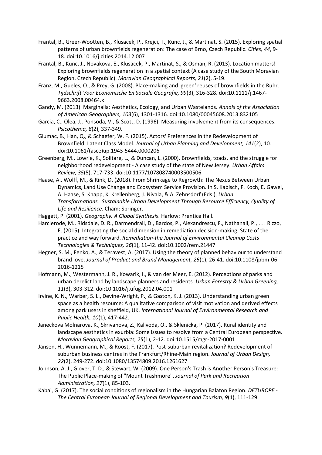- Frantal, B., Greer-Wootten, B., Klusacek, P., Krejci, T., Kunc, J., & Martinat, S. (2015). Exploring spatial patterns of urban brownfields regeneration: The case of Brno, Czech Republic. *Cities, 44*, 9- 18. doi:10.1016/j.cities.2014.12.007
- Frantal, B., Kunc, J., Novakova, E., Klusacek, P., Martinat, S., & Osman, R. (2013). Location matters! Exploring brownfields regeneration in a spatial context (A case study of the South Moravian Region, Czech Republic). *Moravian Geographical Reports, 21*(2), 5-19.
- Franz, M., Gueles, O., & Prey, G. (2008). Place-making and 'green' reuses of brownfields in the Ruhr. *Tijdschrift Voor Economische En Sociale Geografie, 99*(3), 316-328. doi:10.1111/j.1467- 9663.2008.00464.x
- Gandy, M. (2013). Marginalia: Aesthetics, Ecology, and Urban Wastelands. *Annals of the Association of American Geographers, 103*(6), 1301-1316. doi:10.1080/00045608.2013.832105
- Garcia, C., Olea, J., Ponsoda, V., & Scott, D. (1996). Measuring involvement from its consequences. *Psicothema, 8*(2), 337-349.
- Glumac, B., Han, Q., & Schaefer, W. F. (2015). Actors' Preferences in the Redevelopment of Brownfield: Latent Class Model. *Journal of Urban Planning and Development, 141*(2), 10. doi:10.1061/(asce)up.1943-5444.0000206
- Greenberg, M., Lowrie, K., Solitare, L., & Duncan, L. (2000). Brownfields, toads, and the struggle for neighborhood redevelopment - A case study of the state of New Jersey. *Urban Affairs Review, 35*(5), 717-733. doi:10.1177/107808740003500506
- Haase, A., Wolff, M., & Rink, D. (2018). From Shrinkage to Regrowth: The Nexus Between Urban Dynamics, Land Use Change and Ecosystem Service Provision. In S. Kabisch, F. Koch, E. Gawel, A. Haase, S. Knapp, K. Krellenberg, J. Nivala, & A. Zehnsdorf (Eds.), *Urban Transformations. Sustainable Urban Development Through Resource Efficiency, Quality of Life and Resilience*. Cham: Springer.
- Haggett, P. (2001). *Geography. A Global Synthesis*. Harlow: Prentice Hall.
- Harclerode, M., Ridsdale, D. R., Darmendrail, D., Bardos, P., Alexandrescu, F., Nathanail, P., . . . Rizzo, E. (2015). Integrating the social dimension in remediation decision-making: State of the practice and way forward. *Remediation-the Journal of Environmental Cleanup Costs Technologies & Techniques, 26*(1), 11-42. doi:10.1002/rem.21447
- Hegner, S. M., Fenko, A., & Teravest, A. (2017). Using the theory of planned behaviour to understand brand love. *Journal of Product and Brand Management, 26*(1), 26-41. doi:10.1108/jpbm-06- 2016-1215
- Hofmann, M., Westermann, J. R., Kowarik, I., & van der Meer, E. (2012). Perceptions of parks and urban derelict land by landscape planners and residents. *Urban Forestry & Urban Greening, 11*(3), 303-312. doi:10.1016/j.ufug.2012.04.001
- Irvine, K. N., Warber, S. L., Devine-Wright, P., & Gaston, K. J. (2013). Understanding urban green space as a health resource: A qualitative comparison of visit motivation and derived effects among park users in sheffield, UK. *International Journal of Environmental Research and Public Health, 10*(1), 417-442.
- Janeckova Molnarova, K., Skrivanova, Z., Kalivoda, O., & Sklenicka, P. (2017). Rural identity and landscape aesthetics in exurbia: Some issues to resolve from a Central European perspective. *Moravian Geographical Reports, 25*(1), 2-12. doi:10.1515/mgr-2017-0001
- Jansen, H., Wunnemann, M., & Roost, F. (2017). Post-suburban revitalization? Redevelopment of suburban business centres in the Frankfurt/Rhine-Main region. *Journal of Urban Design, 22*(2), 249-272. doi:10.1080/13574809.2016.1261627
- Johnson, A. J., Glover, T. D., & Stewart, W. (2009). One Person's Trash is Another Person's Treasure: The Public Place-making of "Mount Trashmore". *Journal of Park and Recreation Administration, 27*(1), 85-103.
- Kabai, G. (2017). The social conditions of regionalism in the Hungarian Balaton Region. *DETUROPE The Central European Journal of Regional Development and Tourism, 9*(1), 111-129.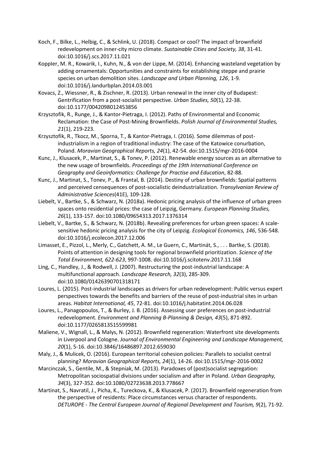- Koch, F., Bilke, L., Helbig, C., & Schlink, U. (2018). Compact or cool? The impact of brownfield redevelopment on inner-city micro climate. *Sustainable Cities and Society, 38*, 31-41. doi:10.1016/j.scs.2017.11.021
- KoppIer, M. R., Kowarik, I., Kuhn, N., & von der Lippe, M. (2014). Enhancing wasteland vegetation by adding ornamentals: Opportunities and constraints for establishing steppe and prairie species on urban demolition sites. *Landscape and Urban Planning, 126*, 1-9. doi:10.1016/j.landurbplan.2014.03.001
- Kovacs, Z., Wiessner, R., & Zischner, R. (2013). Urban renewal in the inner city of Budapest: Gentrification from a post-socialist perspective. *Urban Studies, 50*(1), 22-38. doi:10.1177/0042098012453856
- Krzysztofik, R., Runge, J., & Kantor-Pietraga, I. (2012). Paths of Environmental and Economic Reclamation: the Case of Post-Mining Brownfields. *Polish Journal of Environmental Studies, 21*(1), 219-223.
- Krzysztofik, R., Tkocz, M., Sporna, T., & Kantor-Pietraga, I. (2016). Some dilemmas of postindustrialism in a region of traditional industry: The case of the Katowice conurbation, Poland. *Moravian Geographical Reports, 24*(1), 42-54. doi:10.1515/mgr-2016-0004
- Kunc, J., Klusacek, P., Martinat, S., & Tonev, P. (2012). Renewable energy sources as an alternative to the new usage of brownfields. *Proceedings of the 19th International Conference on Geography and Geoinformatics: Challenge for Practise and Education*, 82-88.
- Kunc, J., Martinat, S., Tonev, P., & Frantal, B. (2014). Destiny of urban brownfields: Spatial patterns and perceived censequences of post-socialistic deindustrialization. *Transylvanian Review of Administrative Sciences*(41E), 109-128.
- Liebelt, V., Bartke, S., & Schwarz, N. (2018a). Hedonic pricing analysis of the influence of urban green spaces onto residential prices: the case of Leipzig, Germany. *European Planning Studies, 26*(1), 133-157. doi:10.1080/09654313.2017.1376314
- Liebelt, V., Bartke, S., & Schwarz, N. (2018b). Revealing preferences for urban green spaces: A scalesensitive hedonic pricing analysis for the city of Leipzig. *Ecological Economics, 146*, 536-548. doi:10.1016/j.ecolecon.2017.12.006
- Limasset, E., Pizzol, L., Merly, C., Gatchett, A. M., Le Guern, C., Martinát, S., . . . Bartke, S. (2018). Points of attention in designing tools for regional brownfield prioritization. *Science of the Total Environment, 622-623*, 997-1008. doi:10.1016/j.scitotenv.2017.11.168
- Ling, C., Handley, J., & Rodwell, J. (2007). Restructuring the post-industrial landscape: A multifunctional approach. *Landscape Research, 32*(3), 285-309. doi:10.1080/01426390701318171
- Loures, L. (2015). Post-industrial landscapes as drivers for urban redevelopment: Public versus expert perspectives towards the benefits and barriers of the reuse of post-industrial sites in urban areas. *Habitat International, 45*, 72-81. doi:10.1016/j.habitatint.2014.06.028
- Loures, L., Panagopoulos, T., & Burley, J. B. (2016). Assessing user preferences on post-industrial redevelopment. *Environment and Planning B-Planning & Design, 43*(5), 871-892. doi:10.1177/0265813515599981
- Maliene, V., Wignall, L., & Malys, N. (2012). Brownfield regeneration: Waterfront site developments in Liverpool and Cologne. *Journal of Environmental Engineering and Landscape Management, 20*(1), 5-16. doi:10.3846/16486897.2012.659030
- Maly, J., & Mulicek, O. (2016). European territorial cohesion policies: Parallels to socialist central planning? *Moravian Geographical Reports, 24*(1), 14-26. doi:10.1515/mgr-2016-0002
- Marcinczak, S., Gentile, M., & Stepniak, M. (2013). Paradoxes of (post)socialist segregation: Metropolitan sociospatial divisions under socialism and after in Poland. *Urban Geography, 34*(3), 327-352. doi:10.1080/02723638.2013.778667
- Martinat, S., Navratil, J., Picha, K., Tureckova, K., & Klusacek, P. (2017). Brownfield regeneration from the perspective of residents: Place circumstances versus character of respondents. *DETUROPE - The Central European Journal of Regional Development and Tourism, 9*(2), 71-92.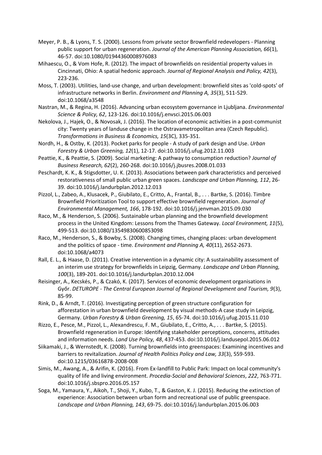- Meyer, P. B., & Lyons, T. S. (2000). Lessons from private sector Brownfield redevelopers Planning public support for urban regeneration. *Journal of the American Planning Association, 66*(1), 46-57. doi:10.1080/01944360008976083
- Mihaescu, O., & Vom Hofe, R. (2012). The impact of brownfields on residential property values in Cincinnati, Ohio: A spatial hedonic approach. *Journal of Regional Analysis and Policy, 42*(3), 223-236.
- Moss, T. (2003). Utilities, land-use change, and urban development: brownfield sites as 'cold-spots' of infrastructure networks in Berlin. *Environment and Planning A, 35*(3), 511-529. doi:10.1068/a3548
- Nastran, M., & Regina, H. (2016). Advancing urban ecosystem governance in Ljubljana. *Environmental Science & Policy, 62*, 123-126. doi:10.1016/j.envsci.2015.06.003
- Nekolova, J., Hajek, O., & Novosak, J. (2016). The location of economic activities in a post-communist city: Twenty years of landuse change in the Ostravametropolitan area (Czech Republic). *Transformations in Business & Economics, 15*(3C), 335-351.
- Nordh, H., & Ostby, K. (2013). Pocket parks for people A study of park design and Use. *Urban Forestry & Urban Greening, 12*(1), 12-17. doi:10.1016/j.ufug.2012.11.003
- Peattie, K., & Peattie, S. (2009). Social marketing: A pathway to consumption reduction? *Journal of Business Research, 62*(2), 260-268. doi:10.1016/j.jbusres.2008.01.033
- Peschardt, K. K., & Stigsdotter, U. K. (2013). Associations between park characteristics and perceived restorativeness of small public urban green spaces. *Landscape and Urban Planning, 112*, 26- 39. doi:10.1016/j.landurbplan.2012.12.013
- Pizzol, L., Zabeo, A., Klusacek, P., Giubilato, E., Critto, A., Frantal, B., . . . Bartke, S. (2016). Timbre Brownfield Prioritization Tool to support effective brownfield regeneration. *Journal of Environmental Management, 166*, 178-192. doi:10.1016/j.jenvman.2015.09.030
- Raco, M., & Henderson, S. (2006). Sustainable urban planning and the brownfield development process in the United Kingdom: Lessons from the Thames Gateway. *Local Environment, 11*(5), 499-513. doi:10.1080/13549830600853098
- Raco, M., Henderson, S., & Bowby, S. (2008). Changing times, changing places: urban development and the politics of space - time. *Environment and Planning A, 40*(11), 2652-2673. doi:10.1068/a4073
- Rall, E. L., & Haase, D. (2011). Creative intervention in a dynamic city: A sustainability assessment of an interim use strategy for brownfields in Leipzig, Germany. *Landscape and Urban Planning, 100*(3), 189-201. doi:10.1016/j.landurbplan.2010.12.004
- Reisinger, A., Kecskés, P., & Czakó, K. (2017). Services of economic development organisations in Győr. *DETUROPE - The Central European Journal of Regional Development and Tourism, 9*(3), 85-99.
- Rink, D., & Arndt, T. (2016). Investigating perception of green structure configuration for afforestation in urban brownfield development by visual methods-A case study in Leipzig, Germany. *Urban Forestry & Urban Greening, 15*, 65-74. doi:10.1016/j.ufug.2015.11.010
- Rizzo, E., Pesce, M., Pizzol, L., Alexandrescu, F. M., Giubilato, E., Critto, A., . . . Bartke, S. (2015). Brownfield regeneration in Europe: Identifying stakeholder perceptions, concerns, attitudes and information needs. *Land Use Policy, 48*, 437-453. doi:10.1016/j.landusepol.2015.06.012
- Siikamaki, J., & Wernstedt, K. (2008). Turning brownfields into greenspaces: Examining incentives and barriers to revitalization. *Journal of Health Politics Policy and Law, 33*(3), 559-593. doi:10.1215/03616878-2008-008
- Simis, M., Awang, A., & Arifin, K. (2016). From Ex-landfill to Public Park: Impact on local community's quality of life and living environment. *Procedia-Social and Behavioral Sciences*, *222*, 763-771. doi:10.1016/j.sbspro.2016.05.157
- Soga, M., Yamaura, Y., Aikoh, T., Shoji, Y., Kubo, T., & Gaston, K. J. (2015). Reducing the extinction of experience: Association between urban form and recreational use of public greenspace. *Landscape and Urban Planning, 143*, 69-75. doi:10.1016/j.landurbplan.2015.06.003